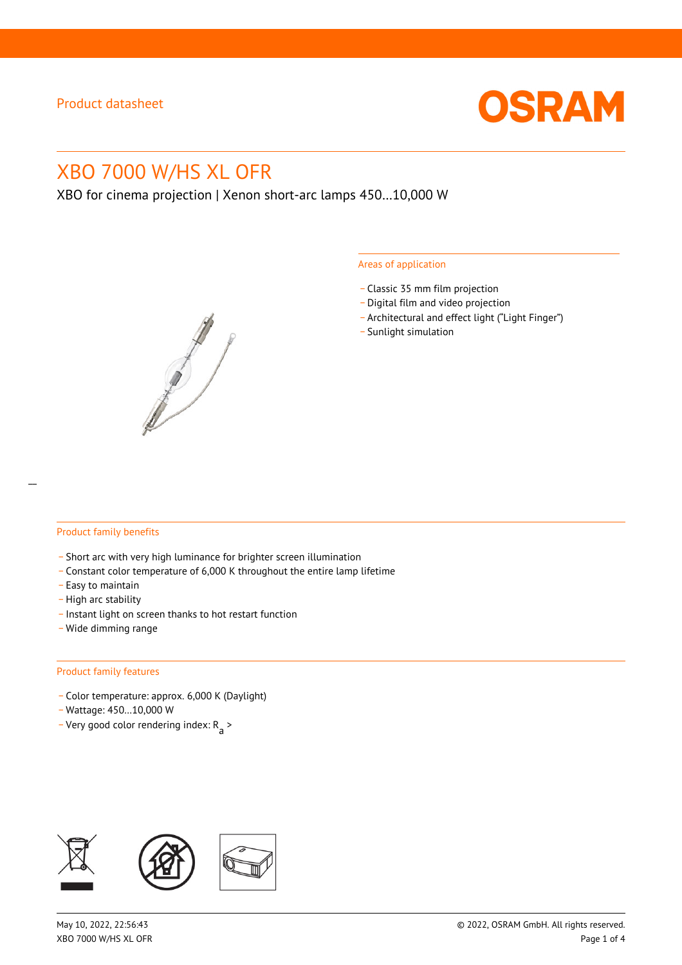

# XBO 7000 W/HS XL OFR

XBO for cinema projection | Xenon short-arc lamps 450…10,000 W



#### Areas of application

- \_ Classic 35 mm film projection
- \_ Digital film and video projection
- \_ Architectural and effect light ("Light Finger")
- Sunlight simulation

#### Product family benefits

- \_ Short arc with very high luminance for brighter screen illumination
- \_ Constant color temperature of 6,000 K throughout the entire lamp lifetime
- \_ Easy to maintain
- High arc stability
- \_ Instant light on screen thanks to hot restart function
- \_ Wide dimming range

#### Product family features

- \_ Color temperature: approx. 6,000 K (Daylight)
- \_ Wattage: 450…10,000 W
- Very good color rendering index:  $R_{\text{a}}$  >

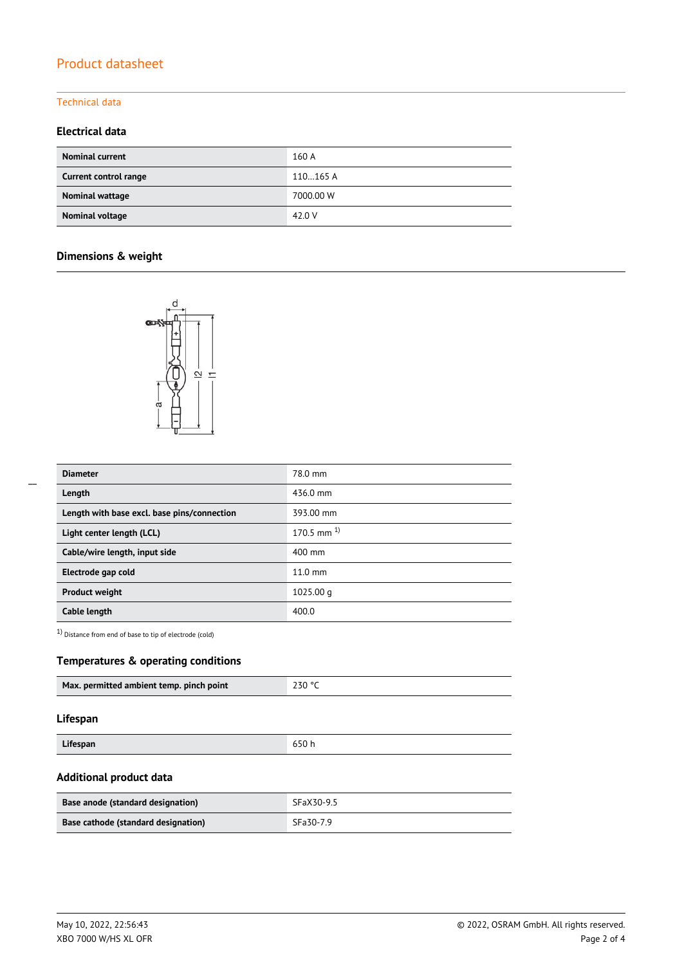# Product datasheet

### Technical data

### **Electrical data**

| <b>Nominal current</b> | 160 A     |
|------------------------|-----------|
| Current control range  | 110165 A  |
| Nominal wattage        | 7000.00 W |
| Nominal voltage        | 42.0 V    |

## **Dimensions & weight**



| <b>Diameter</b>                             | 78.0 mm           |
|---------------------------------------------|-------------------|
| Length                                      | 436.0 mm          |
| Length with base excl. base pins/connection | 393.00 mm         |
| Light center length (LCL)                   | 170.5 mm $^{1}$   |
| Cable/wire length, input side               | $400 \text{ mm}$  |
| Electrode gap cold                          | $11.0 \text{ mm}$ |
| <b>Product weight</b>                       | $1025.00$ q       |
| Cable length                                | 400.0             |

1) Distance from end of base to tip of electrode (cold)

### **Temperatures & operating conditions**

| Max. permitted ambient temp. pinch point | 230 ° |
|------------------------------------------|-------|
|                                          |       |

#### **Lifespan**

| Lifespan | 650 h |
|----------|-------|
|----------|-------|

# **Additional product data**

| Base anode (standard designation)   | SFaX30-9.5 |
|-------------------------------------|------------|
| Base cathode (standard designation) | SFa30-7.9  |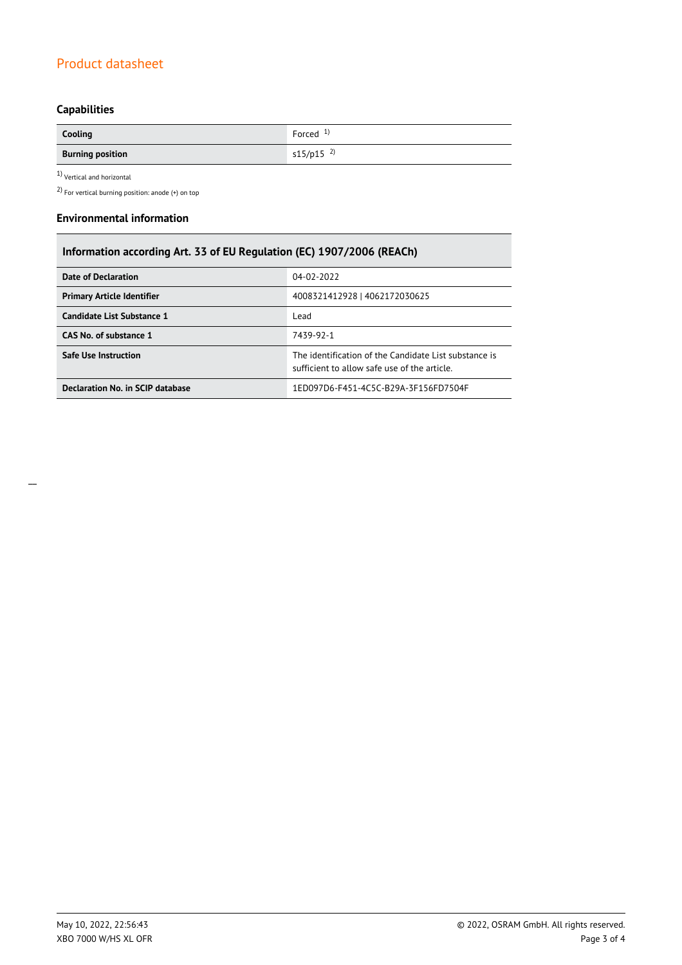# Product datasheet

# **Capabilities**

| Cooling                 | Forced $1$ )            |
|-------------------------|-------------------------|
| <b>Burning position</b> | $s15/p15$ <sup>2)</sup> |

1) Vertical and horizontal

2) For vertical burning position: anode (+) on top

#### **Environmental information**

| Information according Art. 33 of EU Regulation (EC) 1907/2006 (REACh) |                                                                                                       |  |
|-----------------------------------------------------------------------|-------------------------------------------------------------------------------------------------------|--|
| <b>Date of Declaration</b>                                            | 04-02-2022                                                                                            |  |
| <b>Primary Article Identifier</b>                                     | 4008321412928   4062172030625                                                                         |  |
| Candidate List Substance 1                                            | Lead                                                                                                  |  |
| CAS No. of substance 1                                                | 7439-92-1                                                                                             |  |
| <b>Safe Use Instruction</b>                                           | The identification of the Candidate List substance is<br>sufficient to allow safe use of the article. |  |
| Declaration No. in SCIP database                                      | 1ED097D6-F451-4C5C-B29A-3F156FD7504F                                                                  |  |